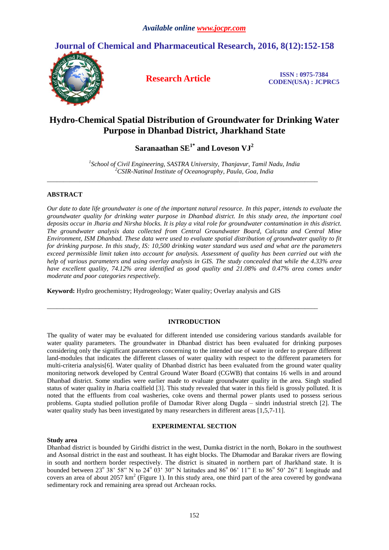# **Journal of Chemical and Pharmaceutical Research, 2016, 8(12):152-158**



**Research Article ISSN : 0975-7384 CODEN(USA) : JCPRC5**

# **Hydro-Chemical Spatial Distribution of Groundwater for Drinking Water Purpose in Dhanbad District, Jharkhand State**

 $\mathbf{S}$ aranaathan  $\mathbf{SE}^{1*}$  and  $\mathbf{L}$ oveson  $\mathbf{V}\mathbf{J}^2$ 

*1 School of Civil Engineering, SASTRA University, Thanjavur, Tamil Nadu, India <sup>2</sup>CSIR-Natinal Institute of Oceanography, Paula, Goa, India*

*\_\_\_\_\_\_\_\_\_\_\_\_\_\_\_\_\_\_\_\_\_\_\_\_\_\_\_\_\_\_\_\_\_\_\_\_\_\_\_\_\_\_\_\_\_\_\_\_\_\_\_\_\_\_\_\_\_\_\_\_\_\_\_\_\_\_\_\_\_\_\_\_\_\_\_\_\_\_\_\_\_\_\_*

## **ABSTRACT**

*Our date to date life groundwater is one of the important natural resource. In this paper, intends to evaluate the groundwater quality for drinking water purpose in Dhanbad district. In this study area, the important coal deposits occur in Jharia and Nirsha blocks. It is play a vital role for groundwater contamination in this district. The groundwater analysis data collected from Central Groundwater Board, Calcutta and Central Mine Environment, ISM Dhanbad. These data were used to evaluate spatial distribution of groundwater quality to fit for drinking purpose. In this study, IS: 10,500 drinking water standard was used and what are the parameters exceed permissible limit taken into account for analysis. Assessment of quality has been carried out with the help of various parameters and using overlay analysis in GIS. The study concealed that while the 4.33% area have excellent quality, 74.12% area identified as good quality and 21.08% and 0.47% area comes under moderate and poor categories respectively.*

**Keyword:** Hydro geochemistry; Hydrogeology; Water quality; Overlay analysis and GIS

## **INTRODUCTION**

*\_\_\_\_\_\_\_\_\_\_\_\_\_\_\_\_\_\_\_\_\_\_\_\_\_\_\_\_\_\_\_\_\_\_\_\_\_\_\_\_\_\_\_\_\_\_\_\_\_\_\_\_\_\_\_\_\_\_\_\_\_\_\_\_\_\_\_\_\_\_\_\_\_\_\_\_\_\_\_\_\_\_\_*

The quality of water may be evaluated for different intended use considering various standards available for water quality parameters. The groundwater in Dhanbad district has been evaluated for drinking purposes considering only the significant parameters concerning to the intended use of water in order to prepare different land-modules that indicates the different classes of water quality with respect to the different parameters for multi-criteria analysis[6]. Water quality of Dhanbad district has been evaluated from the ground water quality monitoring network developed by Central Ground Water Board (CGWB) that contains 16 wells in and around Dhanbad district. Some studies were earlier made to evaluate groundwater quality in the area. Singh studied status of water quality in Jharia coalfield [3]. This study revealed that water in this field is grossly polluted. It is noted that the effluents from coal washeries, coke ovens and thermal power plants used to possess serious problems. Gupta studied pollution profile of Damodar River along Dugda – sindri industrial stretch [2]. The water quality study has been investigated by many researchers in different areas [1,5,7-11].

# **EXPERIMENTAL SECTION**

## **Study area**

Dhanbad district is bounded by Giridhi district in the west, Dumka district in the north, Bokaro in the southwest and Asonsal district in the east and southeast. It has eight blocks. The Dhamodar and Barakar rivers are flowing in south and northern border respectively. The district is situated in northern part of Jharkhand state. It is bounded between 23<sup>°</sup> 38' 58" N to 24<sup>°</sup> 03' 30" N latitudes and 86<sup>°</sup> 06' 11" E to 86<sup>°</sup> 50' 26" E longitude and covers an area of about 2057  $km^2$  (Figure 1). In this study area, one third part of the area covered by gondwana sedimentary rock and remaining area spread out Archeaan rocks.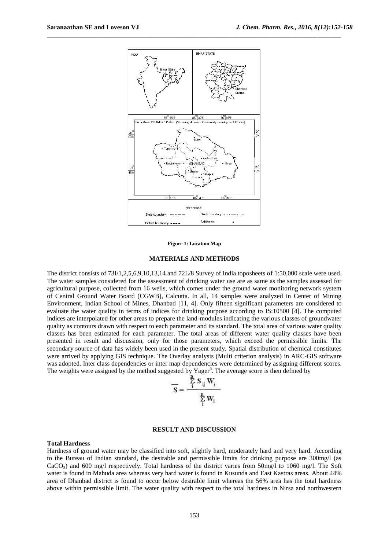

\_\_\_\_\_\_\_\_\_\_\_\_\_\_\_\_\_\_\_\_\_\_\_\_\_\_\_\_\_\_\_\_\_\_\_\_\_\_\_\_\_\_\_\_\_\_\_\_\_\_\_\_\_\_\_\_\_\_\_\_\_\_\_\_\_\_\_\_\_\_\_\_\_\_\_\_\_\_\_\_\_\_\_\_\_\_\_\_\_\_

**Figure 1: Location Map**

#### **MATERIALS AND METHODS**

The district consists of 73I/1,2,5,6,9,10,13,14 and 72L/8 Survey of India toposheets of 1:50,000 scale were used. The water samples considered for the assessment of drinking water use are as same as the samples assessed for agricultural purpose, collected from 16 wells, which comes under the ground water monitoring network system of Central Ground Water Board (CGWB), Calcutta. In all, 14 samples were analyzed in Center of Mining Environment, Indian School of Mines, Dhanbad [11, 4]. Only fifteen significant parameters are considered to evaluate the water quality in terms of indices for drinking purpose according to IS:10500 [4]. The computed indices are interpolated for other areas to prepare the land-modules indicating the various classes of groundwater quality as contours drawn with respect to each parameter and its standard. The total area of various water quality classes has been estimated for each parameter. The total areas of different water quality classes have been presented in result and discussion, only for those parameters, which exceed the permissible limits. The secondary source of data has widely been used in the present study. Spatial distribution of chemical constitutes were arrived by applying GIS technique. The Overlay analysis (Multi criterion analysis) in ARC-GIS software was adopted. Inter class dependencies or inter map dependencies were determined by assigning different scores. The weights were assigned by the method suggested by Yager<sup>6</sup>. The average score is then defined by

$$
\overline{\mathbf{S}} = \frac{\sum_{i} \mathbf{S}_{ij} \mathbf{W}_{i}}{\sum_{i}^{n} \mathbf{W}_{i}}
$$

#### **RESULT AND DISCUSSION**

#### **Total Hardness**

Hardness of ground water may be classified into soft, slightly hard, moderately hard and very hard. According to the Bureau of Indian standard, the desirable and permissible limits for drinking purpose are 300mg/l (as  $CaCO<sub>3</sub>$  and 600 mg/l respectively. Total hardness of the district varies from 50mg/l to 1060 mg/l. The Soft water is found in Mahuda area whereas very hard water is found in Kusunda and East Kastras areas. About 44% area of Dhanbad district is found to occur below desirable limit whereas the 56% area has the total hardness above within permissible limit. The water quality with respect to the total hardness in Nirsa and northwestern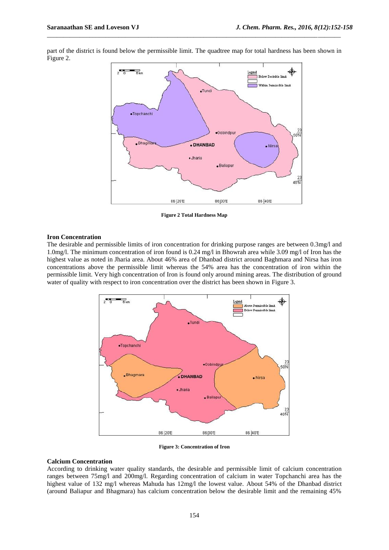part of the district is found below the permissible limit. The quadtree map for total hardness has been shown in Figure 2.

\_\_\_\_\_\_\_\_\_\_\_\_\_\_\_\_\_\_\_\_\_\_\_\_\_\_\_\_\_\_\_\_\_\_\_\_\_\_\_\_\_\_\_\_\_\_\_\_\_\_\_\_\_\_\_\_\_\_\_\_\_\_\_\_\_\_\_\_\_\_\_\_\_\_\_\_\_\_\_\_\_\_\_\_\_\_\_\_\_\_



**Figure 2 Total Hardness Map**

## **Iron Concentration**

The desirable and permissible limits of iron concentration for drinking purpose ranges are between 0.3mg/l and 1.0mg/l. The minimum concentration of iron found is 0.24 mg/l in Bhowrah area while 3.09 mg/l of Iron has the highest value as noted in Jharia area. About 46% area of Dhanbad district around Baghmara and Nirsa has iron concentrations above the permissible limit whereas the 54% area has the concentration of iron within the permissible limit. Very high concentration of Iron is found only around mining areas. The distribution of ground water of quality with respect to iron concentration over the district has been shown in Figure 3.



**Figure 3: Concentration of Iron**

## **Calcium Concentration**

According to drinking water quality standards, the desirable and permissible limit of calcium concentration ranges between 75mg/l and 200mg/l. Regarding concentration of calcium in water Topchanchi area has the highest value of 132 mg/l whereas Mahuda has  $12mg/l$  the lowest value. About 54% of the Dhanbad district (around Baliapur and Bhagmara) has calcium concentration below the desirable limit and the remaining 45%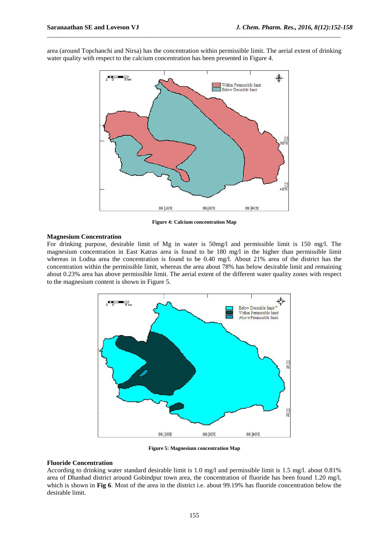Within Permissible limit Below Desirable limit  $rac{23}{40 N}$ 86 20 E 86|30'E 86 40 E

area (around Topchanchi and Nirsa) has the concentration within permissible limit. The aerial extent of drinking water quality with respect to the calcium concentration has been presented in Figure 4.

\_\_\_\_\_\_\_\_\_\_\_\_\_\_\_\_\_\_\_\_\_\_\_\_\_\_\_\_\_\_\_\_\_\_\_\_\_\_\_\_\_\_\_\_\_\_\_\_\_\_\_\_\_\_\_\_\_\_\_\_\_\_\_\_\_\_\_\_\_\_\_\_\_\_\_\_\_\_\_\_\_\_\_\_\_\_\_\_\_\_

**Figure 4: Calcium concentration Map**

#### **Magnesium Concentration**

For drinking purpose, desirable limit of Mg in water is 50mg/l and permissible limit is 150 mg/l. The magnesium concentration in East Katras area is found to be 180 mg/l in the higher than permissible limit whereas in Lodna area the concentration is found to be 0.40 mg/l. About 21% area of the district has the concentration within the permissible limit, whereas the area about 78% has below desirable limit and remaining about 0.23% area has above permissible limit. The aerial extent of the different water quality zones with respect to the magnesium content is shown in Figure 5.



**Figure 5: Magnesium concentration Map**

## **Fluoride Concentration**

According to drinking water standard desirable limit is 1.0 mg/l and permissible limit is 1.5 mg/l. about 0.81% area of Dhanbad district around Gobindpur town area, the concentration of fluoride has been found 1.20 mg/l, which is shown in **Fig 6**. Most of the area in the district i.e. about 99.19% has fluoride concentration below the desirable limit.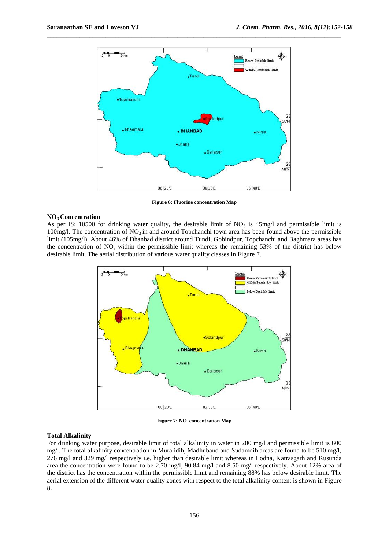

**Figure 6: Fluorine concentration Map**

#### **NO3 Concentration**

As per IS: 10500 for drinking water quality, the desirable limit of  $NO<sub>3</sub>$  is 45mg/l and permissible limit is 100mg/l. The concentration of  $NO<sub>3</sub>$  in and around Topchanchi town area has been found above the permissible limit (105mg/l). About 46% of Dhanbad district around Tundi, Gobindpur, Topchanchi and Baghmara areas has the concentration of  $NO<sub>3</sub>$  within the permissible limit whereas the remaining 53% of the district has below desirable limit. The aerial distribution of various water quality classes in Figure 7.



**Figure 7: NO3 concentration Map**

### **Total Alkalinity**

For drinking water purpose, desirable limit of total alkalinity in water in 200 mg/l and permissible limit is 600 mg/l. The total alkalinity concentration in Muralidih, Madhuband and Sudamdih areas are found to be 510 mg/l, 276 mg/l and 329 mg/l respectively i.e. higher than desirable limit whereas in Lodna, Katrasgarh and Kusunda area the concentration were found to be 2.70 mg/l, 90.84 mg/l and 8.50 mg/l respectively. About 12% area of the district has the concentration within the permissible limit and remaining 88% has below desirable limit. The aerial extension of the different water quality zones with respect to the total alkalinity content is shown in Figure 8.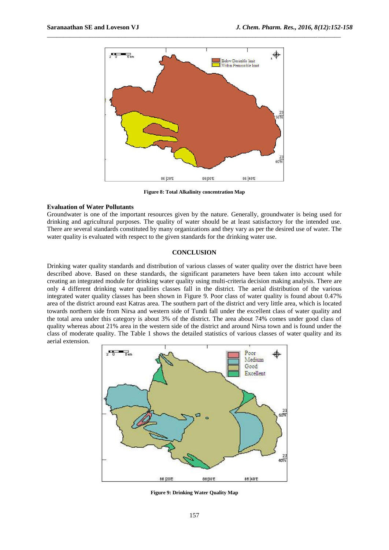

**Figure 8: Total Alkalinity concentration Map**

#### **Evaluation of Water Pollutants**

Groundwater is one of the important resources given by the nature. Generally, groundwater is being used for drinking and agricultural purposes. The quality of water should be at least satisfactory for the intended use. There are several standards constituted by many organizations and they vary as per the desired use of water. The water quality is evaluated with respect to the given standards for the drinking water use.

## **CONCLUSION**

Drinking water quality standards and distribution of various classes of water quality over the district have been described above. Based on these standards, the significant parameters have been taken into account while creating an integrated module for drinking water quality using multi-criteria decision making analysis. There are only 4 different drinking water qualities classes fall in the district. The aerial distribution of the various integrated water quality classes has been shown in Figure 9. Poor class of water quality is found about 0.47% area of the district around east Katras area. The southern part of the district and very little area, which is located towards northern side from Nirsa and western side of Tundi fall under the excellent class of water quality and the total area under this category is about 3% of the district. The area about 74% comes under good class of quality whereas about 21% area in the western side of the district and around Nirsa town and is found under the class of moderate quality. The Table 1 shows the detailed statistics of various classes of water quality and its aerial extension.



**Figure 9: Drinking Water Quality Map**